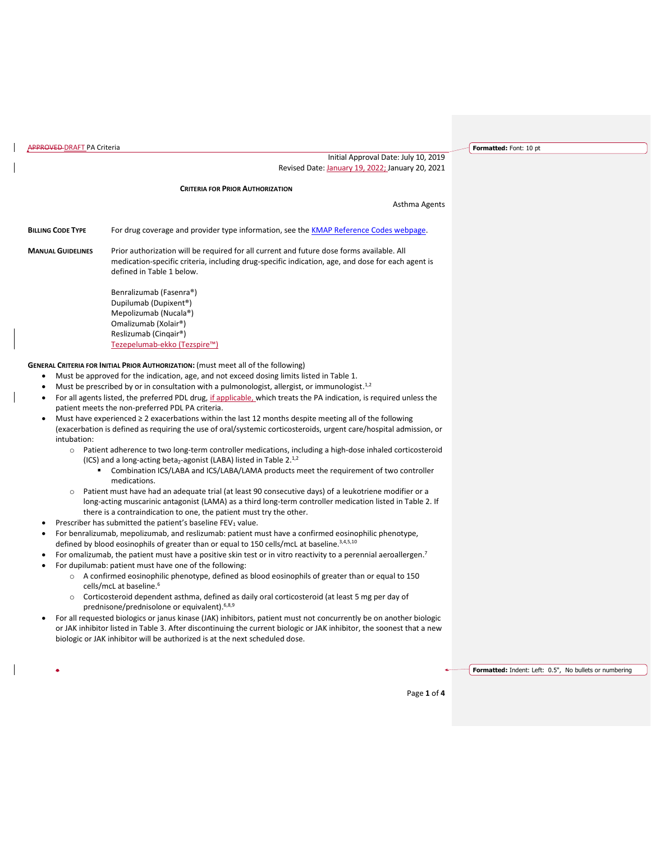| <b>APPROVED-DRAFT PA Criteria</b>                                       |                                                                                                                                                                                                                                                                                                                                                                                                                                                                                                                                                                                                                                                                                                                                                                                                                                                                                                                                                                                                                                                                                                                                                                                                                                                                                                                                                                                                                                                                                                                                                                                                                                                                                                                                                                                                                                                                                                                                                                                                                                                                                                                                                                                                                                                                                                                                                                                                                                     | Formatted: Font: 10 pt                                 |
|-------------------------------------------------------------------------|-------------------------------------------------------------------------------------------------------------------------------------------------------------------------------------------------------------------------------------------------------------------------------------------------------------------------------------------------------------------------------------------------------------------------------------------------------------------------------------------------------------------------------------------------------------------------------------------------------------------------------------------------------------------------------------------------------------------------------------------------------------------------------------------------------------------------------------------------------------------------------------------------------------------------------------------------------------------------------------------------------------------------------------------------------------------------------------------------------------------------------------------------------------------------------------------------------------------------------------------------------------------------------------------------------------------------------------------------------------------------------------------------------------------------------------------------------------------------------------------------------------------------------------------------------------------------------------------------------------------------------------------------------------------------------------------------------------------------------------------------------------------------------------------------------------------------------------------------------------------------------------------------------------------------------------------------------------------------------------------------------------------------------------------------------------------------------------------------------------------------------------------------------------------------------------------------------------------------------------------------------------------------------------------------------------------------------------------------------------------------------------------------------------------------------------|--------------------------------------------------------|
|                                                                         | Initial Approval Date: July 10, 2019<br>Revised Date: January 19, 2022; January 20, 2021                                                                                                                                                                                                                                                                                                                                                                                                                                                                                                                                                                                                                                                                                                                                                                                                                                                                                                                                                                                                                                                                                                                                                                                                                                                                                                                                                                                                                                                                                                                                                                                                                                                                                                                                                                                                                                                                                                                                                                                                                                                                                                                                                                                                                                                                                                                                            |                                                        |
|                                                                         |                                                                                                                                                                                                                                                                                                                                                                                                                                                                                                                                                                                                                                                                                                                                                                                                                                                                                                                                                                                                                                                                                                                                                                                                                                                                                                                                                                                                                                                                                                                                                                                                                                                                                                                                                                                                                                                                                                                                                                                                                                                                                                                                                                                                                                                                                                                                                                                                                                     |                                                        |
|                                                                         | <b>CRITERIA FOR PRIOR AUTHORIZATION</b>                                                                                                                                                                                                                                                                                                                                                                                                                                                                                                                                                                                                                                                                                                                                                                                                                                                                                                                                                                                                                                                                                                                                                                                                                                                                                                                                                                                                                                                                                                                                                                                                                                                                                                                                                                                                                                                                                                                                                                                                                                                                                                                                                                                                                                                                                                                                                                                             |                                                        |
|                                                                         | Asthma Agents                                                                                                                                                                                                                                                                                                                                                                                                                                                                                                                                                                                                                                                                                                                                                                                                                                                                                                                                                                                                                                                                                                                                                                                                                                                                                                                                                                                                                                                                                                                                                                                                                                                                                                                                                                                                                                                                                                                                                                                                                                                                                                                                                                                                                                                                                                                                                                                                                       |                                                        |
| <b>BILLING CODE TYPE</b>                                                | For drug coverage and provider type information, see the <b>KMAP Reference Codes webpage</b> .                                                                                                                                                                                                                                                                                                                                                                                                                                                                                                                                                                                                                                                                                                                                                                                                                                                                                                                                                                                                                                                                                                                                                                                                                                                                                                                                                                                                                                                                                                                                                                                                                                                                                                                                                                                                                                                                                                                                                                                                                                                                                                                                                                                                                                                                                                                                      |                                                        |
| <b>MANUAL GUIDELINES</b>                                                | Prior authorization will be required for all current and future dose forms available. All<br>medication-specific criteria, including drug-specific indication, age, and dose for each agent is<br>defined in Table 1 below.                                                                                                                                                                                                                                                                                                                                                                                                                                                                                                                                                                                                                                                                                                                                                                                                                                                                                                                                                                                                                                                                                                                                                                                                                                                                                                                                                                                                                                                                                                                                                                                                                                                                                                                                                                                                                                                                                                                                                                                                                                                                                                                                                                                                         |                                                        |
|                                                                         | Benralizumab (Fasenra®)<br>Dupilumab (Dupixent <sup>®</sup> )<br>Mepolizumab (Nucala®)<br>Omalizumab (Xolair®)<br>Reslizumab (Cinqair®)<br>Tezepelumab-ekko (Tezspire™)                                                                                                                                                                                                                                                                                                                                                                                                                                                                                                                                                                                                                                                                                                                                                                                                                                                                                                                                                                                                                                                                                                                                                                                                                                                                                                                                                                                                                                                                                                                                                                                                                                                                                                                                                                                                                                                                                                                                                                                                                                                                                                                                                                                                                                                             |                                                        |
| ٠<br>٠<br>٠<br>intubation:<br>$\circ$<br>٠<br>$\circ$<br>$\bullet$<br>٠ | GENERAL CRITERIA FOR INITIAL PRIOR AUTHORIZATION: (must meet all of the following)<br>Must be approved for the indication, age, and not exceed dosing limits listed in Table 1.<br>Must be prescribed by or in consultation with a pulmonologist, allergist, or immunologist. <sup>1,2</sup><br>For all agents listed, the preferred PDL drug, if applicable, which treats the PA indication, is required unless the<br>patient meets the non-preferred PDL PA criteria.<br>Must have experienced $\geq 2$ exacerbations within the last 12 months despite meeting all of the following<br>(exacerbation is defined as requiring the use of oral/systemic corticosteroids, urgent care/hospital admission, or<br>Patient adherence to two long-term controller medications, including a high-dose inhaled corticosteroid<br>(ICS) and a long-acting beta <sub>2</sub> -agonist (LABA) listed in Table $2.^{1,2}$<br>Combination ICS/LABA and ICS/LABA/LAMA products meet the requirement of two controller<br>medications.<br>Patient must have had an adequate trial (at least 90 consecutive days) of a leukotriene modifier or a<br>long-acting muscarinic antagonist (LAMA) as a third long-term controller medication listed in Table 2. If<br>there is a contraindication to one, the patient must try the other.<br>Prescriber has submitted the patient's baseline FEV <sub>1</sub> value.<br>For benralizumab, mepolizumab, and reslizumab: patient must have a confirmed eosinophilic phenotype,<br>defined by blood eosinophils of greater than or equal to 150 cells/mcL at baseline. <sup>3,4,5,10</sup><br>For omalizumab, the patient must have a positive skin test or in vitro reactivity to a perennial aeroallergen.7<br>For dupilumab: patient must have one of the following:<br>○ A confirmed eosinophilic phenotype, defined as blood eosinophils of greater than or equal to 150<br>cells/mcL at baseline. <sup>6</sup><br>o Corticosteroid dependent asthma, defined as daily oral corticosteroid (at least 5 mg per day of<br>prednisone/prednisolone or equivalent). 6,8,9<br>For all requested biologics or janus kinase (JAK) inhibitors, patient must not concurrently be on another biologic<br>or JAK inhibitor listed in Table 3. After discontinuing the current biologic or JAK inhibitor, the soonest that a new<br>biologic or JAK inhibitor will be authorized is at the next scheduled dose. |                                                        |
|                                                                         | Page 1 of 4                                                                                                                                                                                                                                                                                                                                                                                                                                                                                                                                                                                                                                                                                                                                                                                                                                                                                                                                                                                                                                                                                                                                                                                                                                                                                                                                                                                                                                                                                                                                                                                                                                                                                                                                                                                                                                                                                                                                                                                                                                                                                                                                                                                                                                                                                                                                                                                                                         | Formatted: Indent: Left: 0.5", No bullets or numbering |
|                                                                         |                                                                                                                                                                                                                                                                                                                                                                                                                                                                                                                                                                                                                                                                                                                                                                                                                                                                                                                                                                                                                                                                                                                                                                                                                                                                                                                                                                                                                                                                                                                                                                                                                                                                                                                                                                                                                                                                                                                                                                                                                                                                                                                                                                                                                                                                                                                                                                                                                                     |                                                        |

 $\overline{\phantom{a}}$ 

 $\overline{\phantom{a}}$ 

 $\overline{\phantom{a}}$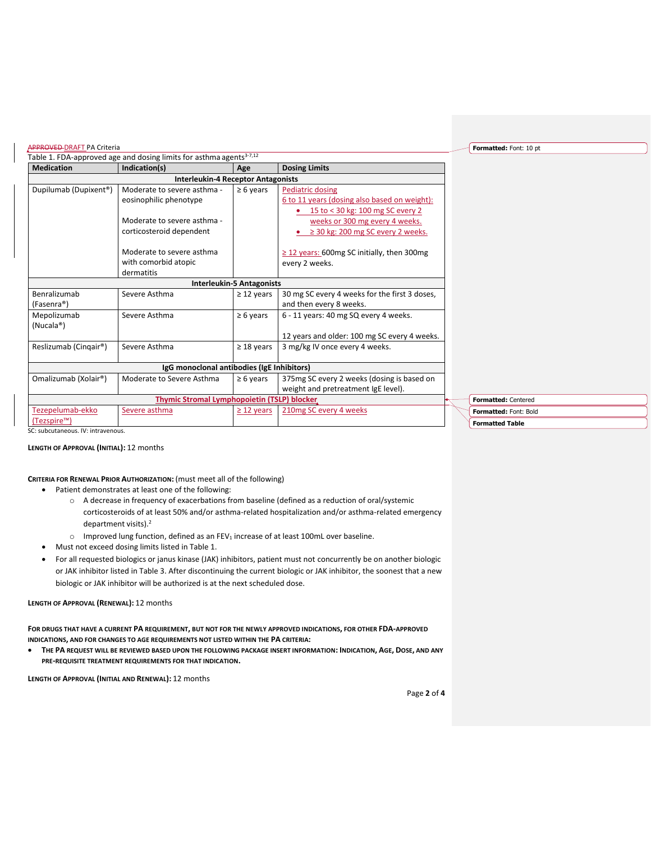| <b>Medication</b>                                                     | Indication(s)                                                                                                    | Age                              | <b>Dosing Limits</b>                                                                                                                                                        |
|-----------------------------------------------------------------------|------------------------------------------------------------------------------------------------------------------|----------------------------------|-----------------------------------------------------------------------------------------------------------------------------------------------------------------------------|
|                                                                       | <b>Interleukin-4 Receptor Antagonists</b>                                                                        |                                  |                                                                                                                                                                             |
| Dupilumab (Dupixent <sup>®</sup> )                                    | Moderate to severe asthma -<br>eosinophilic phenotype<br>Moderate to severe asthma -<br>corticosteroid dependent | $\geq 6$ years                   | Pediatric dosing<br>6 to 11 years (dosing also based on weight):<br>15 to < 30 kg: 100 mg SC every 2<br>weeks or 300 mg every 4 weeks.<br>≥ 30 kg: 200 mg SC every 2 weeks. |
|                                                                       | Moderate to severe asthma<br>with comorbid atopic<br>dermatitis                                                  |                                  | $\geq$ 12 years: 600mg SC initially, then 300mg<br>every 2 weeks.                                                                                                           |
|                                                                       |                                                                                                                  | <b>Interleukin-5 Antagonists</b> |                                                                                                                                                                             |
| Benralizumab<br>(Fasenra®)                                            | Severe Asthma                                                                                                    | $\geq$ 12 years                  | 30 mg SC every 4 weeks for the first 3 doses,<br>and then every 8 weeks.                                                                                                    |
| Mepolizumab<br>(Nucala <sup>®</sup> )                                 | Severe Asthma                                                                                                    | $\geq 6$ years                   | 6 - 11 years: 40 mg SQ every 4 weeks.<br>12 years and older: 100 mg SC every 4 weeks.                                                                                       |
| Reslizumab (Cinqair®)                                                 | Severe Asthma                                                                                                    | $\geq$ 18 years                  | 3 mg/kg IV once every 4 weeks.                                                                                                                                              |
|                                                                       | IgG monoclonal antibodies (IgE Inhibitors)                                                                       |                                  |                                                                                                                                                                             |
| Omalizumab (Xolair®)                                                  | Moderate to Severe Asthma                                                                                        | $\geq 6$ years                   | 375 mg SC every 2 weeks (dosing is based on<br>weight and pretreatment IgE level).                                                                                          |
|                                                                       | <b>Thymic Stromal Lymphopoietin (TSLP) blocker,</b>                                                              |                                  |                                                                                                                                                                             |
| Tezepelumab-ekko<br>(Tezspire™)<br>SC: subcutaneous. IV: intravenous. | Severe asthma                                                                                                    | $\geq$ 12 years                  | 210mg SC every 4 weeks                                                                                                                                                      |

**LENGTH OF APPROVAL (INITIAL):** 12 months

## **CRITERIA FOR RENEWAL PRIOR AUTHORIZATION:** (must meet all of the following)

- Patient demonstrates at least one of the following:
	- o A decrease in frequency of exacerbations from baseline (defined as a reduction of oral/systemic corticosteroids of at least 50% and/or asthma-related hospitalization and/or asthma-related emergency department visits).<sup>2</sup>
	- $\circ$  Improved lung function, defined as an FEV<sub>1</sub> increase of at least 100mL over baseline.
- Must not exceed dosing limits listed in Table 1.
- For all requested biologics or janus kinase (JAK) inhibitors, patient must not concurrently be on another biologic or JAK inhibitor listed in Table 3. After discontinuing the current biologic or JAK inhibitor, the soonest that a new biologic or JAK inhibitor will be authorized is at the next scheduled dose.

### **LENGTH OF APPROVAL (RENEWAL):** 12 months

**FOR DRUGS THAT HAVE A CURRENT PA REQUIREMENT, BUT NOT FOR THE NEWLY APPROVED INDICATIONS, FOR OTHER FDA-APPROVED INDICATIONS, AND FOR CHANGES TO AGE REQUIREMENTS NOT LISTED WITHIN THE PA CRITERIA:**

• **THE PA REQUEST WILL BE REVIEWED BASED UPON THE FOLLOWING PACKAGE INSERT INFORMATION: INDICATION, AGE, DOSE, AND ANY PRE-REQUISITE TREATMENT REQUIREMENTS FOR THAT INDICATION.**

**LENGTH OF APPROVAL (INITIAL AND RENEWAL):** 12 months

**Formatted:** Font: 10 pt

**Formatted:** Centered

**Formatted Table Formatted:** Font: Bold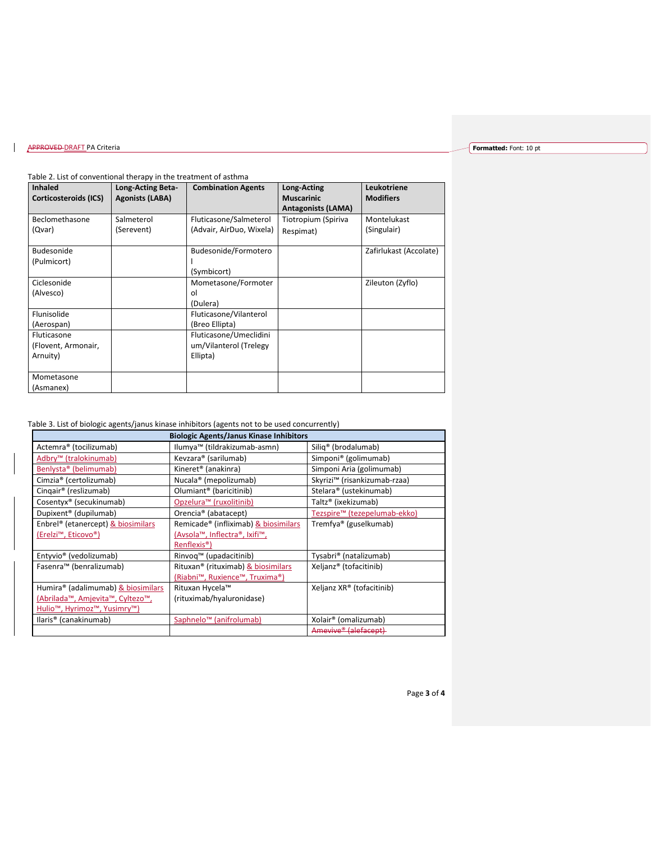# **APPROVED DRAFT PA Criteria**

## **Formatted:** Font: 10 pt

### Table 2. List of conventional therapy in the treatment of asthma

| <b>Inhaled</b><br>Corticosteroids (ICS) | Long-Acting Beta-<br><b>Agonists (LABA)</b> | <b>Combination Agents</b> | <b>Long-Acting</b><br><b>Muscarinic</b><br><b>Antagonists (LAMA)</b> | Leukotriene<br><b>Modifiers</b> |
|-----------------------------------------|---------------------------------------------|---------------------------|----------------------------------------------------------------------|---------------------------------|
| Beclomethasone                          | Salmeterol                                  | Fluticasone/Salmeterol    | Tiotropium (Spiriva                                                  | Montelukast                     |
| (Qvar)                                  | (Serevent)                                  | (Advair, AirDuo, Wixela)  | Respimat)                                                            | (Singulair)                     |
| Budesonide                              |                                             | Budesonide/Formotero      |                                                                      | Zafirlukast (Accolate)          |
| (Pulmicort)                             |                                             |                           |                                                                      |                                 |
|                                         |                                             | (Symbicort)               |                                                                      |                                 |
| Ciclesonide                             |                                             | Mometasone/Formoter       |                                                                      | Zileuton (Zyflo)                |
| (Alvesco)                               |                                             | ol                        |                                                                      |                                 |
|                                         |                                             | (Dulera)                  |                                                                      |                                 |
| Flunisolide                             |                                             | Fluticasone/Vilanterol    |                                                                      |                                 |
| (Aerospan)                              |                                             | (Breo Ellipta)            |                                                                      |                                 |
| Fluticasone                             |                                             | Fluticasone/Umeclidini    |                                                                      |                                 |
| (Flovent, Armonair,                     |                                             | um/Vilanterol (Trelegy    |                                                                      |                                 |
| Arnuity)                                |                                             | Ellipta)                  |                                                                      |                                 |
|                                         |                                             |                           |                                                                      |                                 |
| Mometasone                              |                                             |                           |                                                                      |                                 |
| (Asmanex)                               |                                             |                           |                                                                      |                                 |

# Table 3. List of biologic agents/janus kinase inhibitors (agents not to be used concurrently)

| <b>Biologic Agents/Janus Kinase Inhibitors</b> |                                                |                                          |  |  |  |  |
|------------------------------------------------|------------------------------------------------|------------------------------------------|--|--|--|--|
| Actemra® (tocilizumab)                         | Ilumya™ (tildrakizumab-asmn)                   | Silig <sup>®</sup> (brodalumab)          |  |  |  |  |
| Adbry <sup>™</sup> (tralokinumab)              | Kevzara® (sarilumab)                           | Simponi <sup>®</sup> (golimumab)         |  |  |  |  |
| Benlysta <sup>®</sup> (belimumab)              | Kineret <sup>®</sup> (anakinra)                | Simponi Aria (golimumab)                 |  |  |  |  |
| Cimzia <sup>®</sup> (certolizumab)             | Nucala <sup>®</sup> (mepolizumab)              | Skyrizi <sup>™</sup> (risankizumab-rzaa) |  |  |  |  |
| Cingair <sup>®</sup> (reslizumab)              | Olumiant <sup>®</sup> (baricitinib)            | Stelara® (ustekinumab)                   |  |  |  |  |
| Cosentyx® (secukinumab)                        | Opzelura <sup>™</sup> (ruxolitinib)            | Taltz <sup>®</sup> (ixekizumab)          |  |  |  |  |
| Dupixent <sup>®</sup> (dupilumab)              | Orencia <sup>®</sup> (abatacept)               | Tezspire™ (tezepelumab-ekko)             |  |  |  |  |
| Enbrel <sup>®</sup> (etanercept) & biosimilars | Remicade® (infliximab) & biosimilars           | Tremfya® (guselkumab)                    |  |  |  |  |
| (Erelzi™, Eticovo®)                            | (Avsola™, Inflectra®, Ixifi™,                  |                                          |  |  |  |  |
|                                                | Renflexis <sup>®</sup> )                       |                                          |  |  |  |  |
| Entyvio <sup>®</sup> (vedolizumab)             | Rinvoq™ (upadacitinib)                         | Tysabri <sup>®</sup> (natalizumab)       |  |  |  |  |
| Fasenra™ (benralizumab)                        | Rituxan <sup>®</sup> (rituximab) & biosimilars | Xeljanz® (tofacitinib)                   |  |  |  |  |
|                                                | (Riabni™, Ruxience™, Truxima®)                 |                                          |  |  |  |  |
| Humira® (adalimumab) & biosimilars             | Rituxan Hycela™                                | Xeljanz XR® (tofacitinib)                |  |  |  |  |
| (Abrilada™, Amjevita™, Cyltezo™,               | (rituximab/hyaluronidase)                      |                                          |  |  |  |  |
| <u>Hulio™, Hyrimoz™, Yusimry™)</u>             |                                                |                                          |  |  |  |  |
| llaris <sup>®</sup> (canakinumab)              | Saphnelo <sup>™</sup> (anifrolumab)            | Xolair <sup>®</sup> (omalizumab)         |  |  |  |  |
|                                                |                                                | Amevive® (alefacept)                     |  |  |  |  |